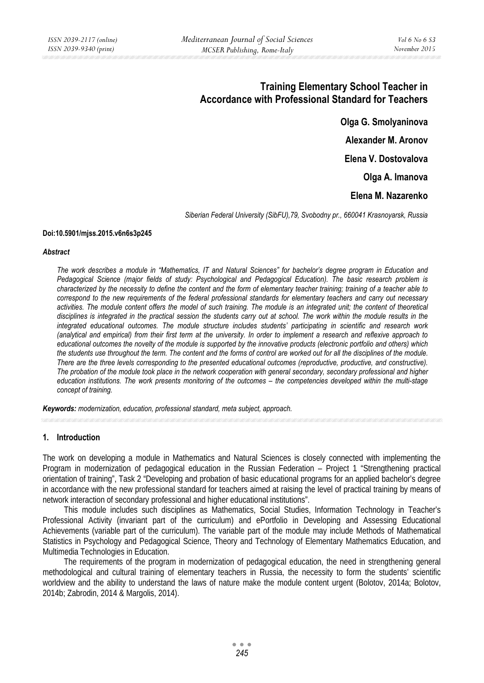# **Training Elementary School Teacher in Accordance with Professional Standard for Teachers**

**Olga G. Smolyaninova Alexander M. Aronov** 

**Elena V. Dostovalova** 

**Olga A. Imanova** 

**Elena M. Nazarenko** 

*Siberian Federal University (SibFU),79, Svobodny pr., 660041 Krasnoyarsk, Russia* 

#### **Doi:10.5901/mjss.2015.v6n6s3p245**

#### *Abstract*

*The work describes a module in "Mathematics, IT and Natural Sciences" for bachelor's degree program in Education and Pedagogical Science (major fields of study: Psychological and Pedagogical Education). The basic research problem is characterized by the necessity to define the content and the form of elementary teacher training; training of a teacher able to correspond to the new requirements of the federal professional standards for elementary teachers and carry out necessary activities. The module content offers the model of such training. The module is an integrated unit; the content of theoretical disciplines is integrated in the practical session the students carry out at school. The work within the module results in the integrated educational outcomes. The module structure includes students' participating in scientific and research work (analytical and empirical) from their first term at the university. In order to implement a research and reflexive approach to educational outcomes the novelty of the module is supported by the innovative products (electronic portfolio and others) which the students use throughout the term. The content and the forms of control are worked out for all the disciplines of the module. There are the three levels corresponding to the presented educational outcomes (reproductive, productive, and constructive). The probation of the module took place in the network cooperation with general secondary, secondary professional and higher education institutions. The work presents monitoring of the outcomes – the competencies developed within the multi-stage concept of training.* 

*Keywords: modernization, education, professional standard, meta subject, approach.* 

#### **1. Introduction**

The work on developing a module in Mathematics and Natural Sciences is closely connected with implementing the Program in modernization of pedagogical education in the Russian Federation – Project 1 "Strengthening practical orientation of training", Task 2 "Developing and probation of basic educational programs for an applied bachelor's degree in accordance with the new professional standard for teachers aimed at raising the level of practical training by means of network interaction of secondary professional and higher educational institutions".

This module includes such disciplines as Mathematics, Social Studies, Information Technology in Teacher's Professional Activity (invariant part of the curriculum) and ePortfolio in Developing and Assessing Educational Achievements (variable part of the curriculum). The variable part of the module may include Methods of Mathematical Statistics in Psychology and Pedagogical Science, Theory and Technology of Elementary Mathematics Education, and Multimedia Technologies in Education.

The requirements of the program in modernization of pedagogical education, the need in strengthening general methodological and cultural training of elementary teachers in Russia, the necessity to form the students' scientific worldview and the ability to understand the laws of nature make the module content urgent (Bolotov, 2014a; Bolotov, 2014b; Zabrodin, 2014 & Margolis, 2014).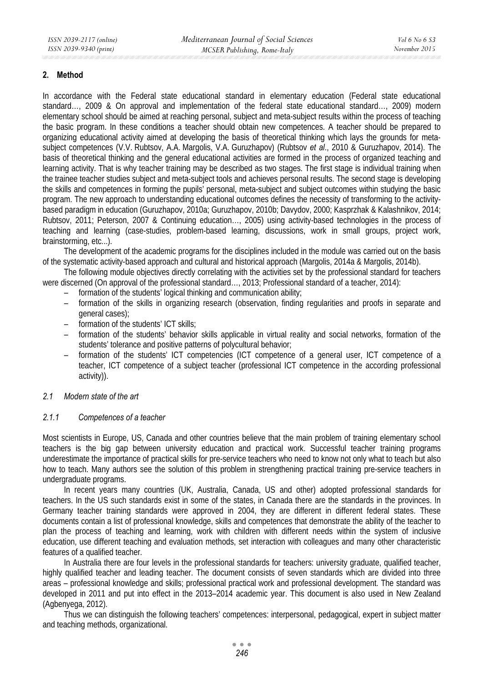## **2. Method**

In accordance with the Federal state educational standard in elementary education (Federal state educational standard..., 2009 & On approval and implementation of the federal state educational standard..., 2009) modern elementary school should be aimed at reaching personal, subject and meta-subject results within the process of teaching the basic program. In these conditions a teacher should obtain new competences. A teacher should be prepared to organizing educational activity aimed at developing the basis of theoretical thinking which lays the grounds for metasubject competences (V.V. Rubtsov, A.A. Margolis, V.A. Guruzhapov) (Rubtsov *et al*., 2010 & Guruzhapov, 2014). The basis of theoretical thinking and the general educational activities are formed in the process of organized teaching and learning activity. That is why teacher training may be described as two stages. The first stage is individual training when the trainee teacher studies subject and meta-subject tools and achieves personal results. The second stage is developing the skills and competences in forming the pupils' personal, meta-subject and subject outcomes within studying the basic program. The new approach to understanding educational outcomes defines the necessity of transforming to the activitybased paradigm in education (Guruzhapov, 2010a; Guruzhapov, 2010b; Davydov, 2000; Kasprzhak & Kalashnikov, 2014; Rubtsov, 2011; Peterson, 2007 & Continuing education…, 2005) using activity-based technologies in the process of teaching and learning (case-studies, problem-based learning, discussions, work in small groups, project work, brainstorming, etc...).

The development of the academic programs for the disciplines included in the module was carried out on the basis of the systematic activity-based approach and cultural and historical approach (Margolis, 2014a & Margolis, 2014b).

The following module objectives directly correlating with the activities set by the professional standard for teachers were discerned (On approval of the professional standard…, 2013; Professional standard of a teacher, 2014):

- formation of the students' logical thinking and communication ability;
- formation of the skills in organizing research (observation, finding regularities and proofs in separate and general cases);
- formation of the students' ICT skills:
- formation of the students' behavior skills applicable in virtual reality and social networks, formation of the students' tolerance and positive patterns of polycultural behavior;
- formation of the students' ICT competencies (ICT competence of a general user, ICT competence of a teacher, ICT competence of a subject teacher (professional ICT competence in the according professional activity)).

## *2.1 Modern state of the art*

#### *2.1.1 Competences of a teacher*

Most scientists in Europe, US, Canada and other countries believe that the main problem of training elementary school teachers is the big gap between university education and practical work. Successful teacher training programs underestimate the importance of practical skills for pre-service teachers who need to know not only what to teach but also how to teach. Many authors see the solution of this problem in strengthening practical training pre-service teachers in undergraduate programs.

In recent years many countries (UK, Australia, Canada, US and other) adopted professional standards for teachers. In the US such standards exist in some of the states, in Canada there are the standards in the provinces. In Germany teacher training standards were approved in 2004, they are different in different federal states. These documents contain a list of professional knowledge, skills and competences that demonstrate the ability of the teacher to plan the process of teaching and learning, work with children with different needs within the system of inclusive education, use different teaching and evaluation methods, set interaction with colleagues and many other characteristic features of a qualified teacher.

In Australia there are four levels in the professional standards for teachers: university graduate, qualified teacher, highly qualified teacher and leading teacher. The document consists of seven standards which are divided into three areas – professional knowledge and skills; professional practical work and professional development. The standard was developed in 2011 and put into effect in the 2013–2014 academic year. This document is also used in New Zealand (Agbenyega, 2012).

Thus we can distinguish the following teachers' competences: interpersonal, pedagogical, expert in subject matter and teaching methods, organizational.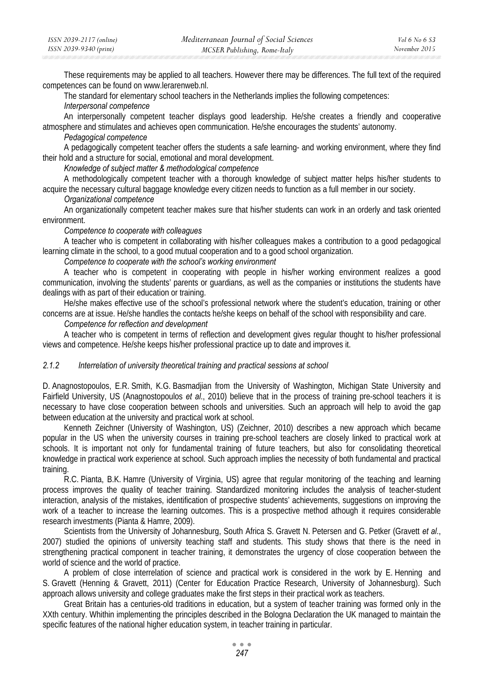These requirements may be applied to all teachers. However there may be differences. The full text of the required competences can be found on www.lerarenweb.nl.

The standard for elementary school teachers in the Netherlands implies the following competences: *Interpersonal competence* 

An interpersonally competent teacher displays good leadership. He/she creates a friendly and cooperative atmosphere and stimulates and achieves open communication. He/she encourages the students' autonomy.

# *Pedagogical competence*

A pedagogically competent teacher offers the students a safe learning- and working environment, where they find their hold and a structure for social, emotional and moral development.

## *Knowledge of subject matter & methodological competence*

A methodologically competent teacher with a thorough knowledge of subject matter helps his/her students to acquire the necessary cultural baggage knowledge every citizen needs to function as a full member in our society.

#### *Organizational competence*

An organizationally competent teacher makes sure that his/her students can work in an orderly and task oriented environment.

## *Competence to cooperate with colleagues*

Ⱥ teacher who is competent in collaborating with his/her colleagues makes a contribution to a good pedagogical learning climate in the school, to a good mutual cooperation and to a good school organization.

## *Competence to cooperate with the school's working environment*

A teacher who is competent in cooperating with people in his/her working environment realizes a good communication, involving the students' parents or guardians, as well as the companies or institutions the students have dealings with as part of their education or training.

He/she makes effective use of the school's professional network where the student's education, training or other concerns are at issue. He/she handles the contacts he/she keeps on behalf of the school with responsibility and care.

#### *Competence for reflection and development*

A teacher who is competent in terms of reflection and development gives regular thought to his/her professional views and competence. He/she keeps his/her professional practice up to date and improves it.

#### *2.1.2 Interrelation of university theoretical training and practical sessions at school*

D. Anagnostopoulos, E.R. Smith, K.G. Basmadjian from the University of Washington, Michigan State University and Fairfield University, US (Anagnostopoulos *et al*., 2010) believe that in the process of training pre-school teachers it is necessary to have close cooperation between schools and universities. Such an approach will help to avoid the gap between education at the university and practical work at school.

Kenneth Zeichner (University of Washington, US) (Zeichner, 2010) describes a new approach which became popular in the US when the university courses in training pre-school teachers are closely linked to practical work at schools. It is important not only for fundamental training of future teachers, but also for consolidating theoretical knowledge in practical work experience at school. Such approach implies the necessity of both fundamental and practical training.

R.C. Pianta, B.K. Hamre (University of Virginia, US) agree that regular monitoring of the teaching and learning process improves the quality of teacher training. Standardized monitoring includes the analysis of teacher-student interaction, analysis of the mistakes, identification of prospective students' achievements, suggestions on improving the work of a teacher to increase the learning outcomes. This is a prospective method athough it requires considerable research investments (Pianta & Hamre, 2009).

Scientists from the University of Johannesburg, South Africa S. Gravett N. Petersen and G. Petker (Gravett *et al*., 2007) studied the opinions of university teaching staff and students. This study shows that there is the need in strengthening practical component in teacher training, it demonstrates the urgency of close cooperation between the world of science and the world of practice.

A problem of close interrelation of science and practical work is considered in the work by E. Henning and S. Gravett (Henning & Gravett, 2011) (Center for Education Practice Research, University of Johannesburg). Such approach allows university and college graduates make the first steps in their practical work as teachers.

Great Britain has a centuries-old traditions in education, but a system of teacher training was formed only in the XXth century. Whithin implementing the principles described in the Bologna Declaration the UK managed to maintain the specific features of the national higher education system, in teacher training in particular.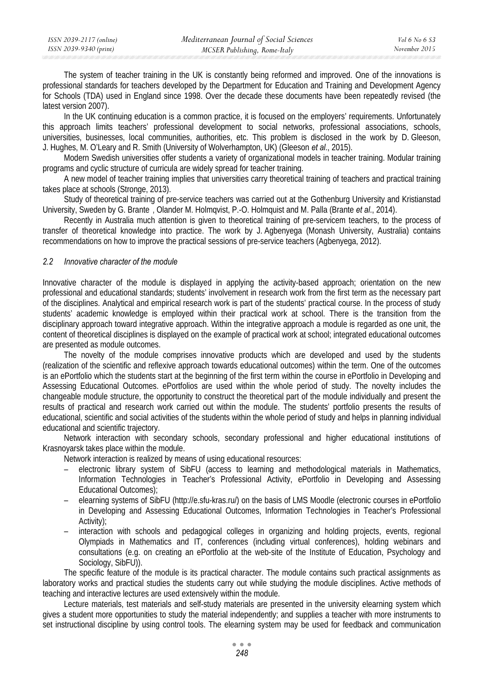The system of teacher training in the UK is constantly being reformed and improved. One of the innovations is professional standards for teachers developed by the Department for Education and Training and Development Agency for Schools (TDA) used in England since 1998. Over the decade these documents have been repeatedly revised (the latest version 2007).

In the UK continuing education is a common practice, it is focused on the employers' requirements. Unfortunately this approach limits teachers' professional development to social networks, professional associations, schools, universities, businesses, local communities, authorities, etc. This problem is disclosed in the work by D. Gleeson, J. Hughes, M. O'Leary and R. Smith (University of Wolverhampton, UK) (Gleeson *et al*., 2015).

Modern Swedish universities offer students a variety of organizational models in teacher training. Modular training programs and cyclic structure of curricula are widely spread for teacher training.

A new model of teacher training implies that universities carry theoretical training of teachers and practical training takes place at schools (Stronge, 2013).

Study of theoretical training of pre-service teachers was carried out at the Gothenburg University and Kristianstad University, Sweden by G. Brante , Olander M. Holmqvist, P.-O. Holmquist and M. Palla (Brante *et al*., 2014).

Recently in Australia much attention is given to theoretical training of pre-servicem teachers, to the process of transfer of theoretical knowledge into practice. The work by J. Agbenyega (Monash University, Australia) contains recommendations on how to improve the practical sessions of pre-service teachers (Agbenyega, 2012).

## *2.2 Innovative character of the module*

Innovative character of the module is displayed in applying the activity-based approach; orientation on the new professional and educational standards; students' involvement in research work from the first term as the necessary part of the disciplines. Analytical and empirical research work is part of the students' practical course. In the process of study students' academic knowledge is employed within their practical work at school. There is the transition from the disciplinary approach toward integrative approach. Within the integrative approach a module is regarded as one unit, the content of theoretical disciplines is displayed on the example of practical work at school; integrated educational outcomes are presented as module outcomes.

The novelty of the module comprises innovative products which are developed and used by the students (realization of the scientific and reflexive approach towards educational outcomes) within the term. One of the outcomes is an ePortfolio which the students start at the beginning of the first term within the course in ePortfolio in Developing and Assessing Educational Outcomes. ePortfolios are used within the whole period of study. The novelty includes the changeable module structure, the opportunity to construct the theoretical part of the module individually and present the results of practical and research work carried out within the module. The students' portfolio presents the results of educational, scientific and social activities of the students within the whole period of study and helps in planning individual educational and scientific trajectory.

Network interaction with secondary schools, secondary professional and higher educational institutions of Krasnoyarsk takes place within the module.

Network interaction is realized by means of using educational resources:

- electronic library system of SibFU (access to learning and methodological materials in Mathematics, Information Technologies in Teacher's Professional Activity, ePortfolio in Developing and Assessing Educational Outcomes);
- elearning systems of SibFU (http://e.sfu-kras.ru/) on the basis of LMS Moodle (electronic courses in ePortfolio in Developing and Assessing Educational Outcomes, Information Technologies in Teacher's Professional Activity);
- interaction with schools and pedagogical colleges in organizing and holding projects, events, regional Olympiads in Mathematics and IT, conferences (including virtual conferences), holding webinars and consultations (e.g. on creating an ePortfolio at the web-site of the Institute of Education, Psychology and Sociology, SibFU)).

The specific feature of the module is its practical character. The module contains such practical assignments as laboratory works and practical studies the students carry out while studying the module disciplines. Active methods of teaching and interactive lectures are used extensively within the module.

Lecture materials, test materials and self-study materials are presented in the university elearning system which gives a student more opportunities to study the material independently; and supplies a teacher with more instruments to set instructional discipline by using control tools. The elearning system may be used for feedback and communication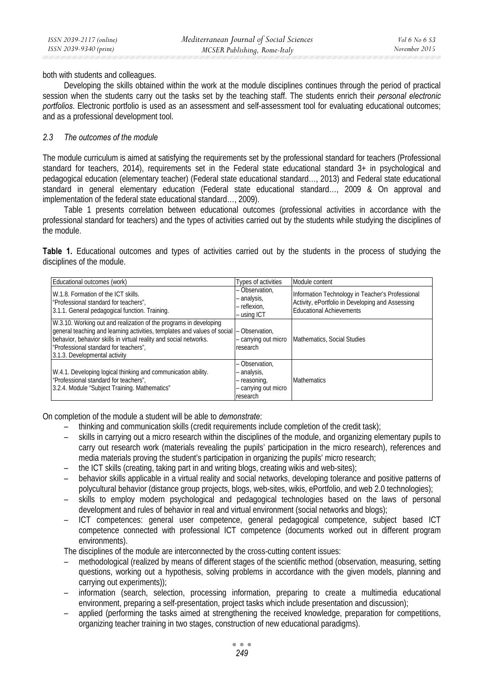both with students and colleagues.

Developing the skills obtained within the work at the module disciplines continues through the period of practical session when the students carry out the tasks set by the teaching staff. The students enrich their *personal electronic portfolios*. Electronic portfolio is used as an assessment and self-assessment tool for evaluating educational outcomes; and as a professional development tool.

## *2.3 The outcomes of the module*

The module curriculum is aimed at satisfying the requirements set by the professional standard for teachers (Professional standard for teachers, 2014), requirements set in the Federal state educational standard 3+ in psychological and pedagogical education (elementary teacher) (Federal state educational standard…, 2013) and Federal state educational standard in general elementary education (Federal state educational standard…, 2009 & On approval and implementation of the federal state educational standard…, 2009).

Table 1 presents correlation between educational outcomes (professional activities in accordance with the professional standard for teachers) and the types of activities carried out by the students while studying the disciplines of the module.

**Table 1.** Educational outcomes and types of activities carried out by the students in the process of studying the disciplines of the module.

| Educational outcomes (work)                                                                                                                                                                                                                                                                                   | Types of activities                                                               | Module content                                                                                                                          |
|---------------------------------------------------------------------------------------------------------------------------------------------------------------------------------------------------------------------------------------------------------------------------------------------------------------|-----------------------------------------------------------------------------------|-----------------------------------------------------------------------------------------------------------------------------------------|
| W.1.8. Formation of the ICT skills.<br>"Professional standard for teachers".<br>3.1.1. General pedagogical function. Training.                                                                                                                                                                                | - Observation.<br>- analysis,<br>- reflexion,<br>– using ICT                      | Information Technology in Teacher's Professional<br>Activity, ePortfolio in Developing and Assessing<br><b>Educational Achievements</b> |
| W.3.10. Working out and realization of the programs in developing<br>general teaching and learning activities, templates and values of social   - Observation,<br>behavior, behavior skills in virtual reality and social networks.<br>"Professional standard for teachers".<br>3.1.3. Developmental activity | - carrying out micro<br>research                                                  | Mathematics, Social Studies                                                                                                             |
| W.4.1. Developing logical thinking and communication ability.<br>"Professional standard for teachers",<br>3.2.4. Module "Subject Training. Mathematics"                                                                                                                                                       | - Observation.<br>– analysis,<br>– reasoning,<br>- carrying out micro<br>research | <b>Mathematics</b>                                                                                                                      |

On completion of the module a student will be able to *demonstrate*:

- thinking and communication skills (credit requirements include completion of the credit task);
- skills in carrying out a micro research within the disciplines of the module, and organizing elementary pupils to carry out research work (materials revealing the pupils' participation in the micro research), references and media materials proving the student's participation in organizing the pupils' micro research;
- the ICT skills (creating, taking part in and writing blogs, creating wikis and web-sites);
- behavior skills applicable in a virtual reality and social networks, developing tolerance and positive patterns of polycultural behavior (distance group projects, blogs, web-sites, wikis, ePortfolio, and web 2.0 technologies);
- skills to employ modern psychological and pedagogical technologies based on the laws of personal development and rules of behavior in real and virtual environment (social networks and blogs);
- ICT competences: general user competence, general pedagogical competence, subject based ICT competence connected with professional ICT competence (documents worked out in different program environments).

The disciplines of the module are interconnected by the cross-cutting content issues:

- methodological (realized by means of different stages of the scientific method (observation, measuring, setting questions, working out a hypothesis, solving problems in accordance with the given models, planning and carrying out experiments));
- information (search, selection, processing information, preparing to create a multimedia educational environment, preparing a self-presentation, project tasks which include presentation and discussion);
- applied (performing the tasks aimed at strengthening the received knowledge, preparation for competitions, organizing teacher training in two stages, construction of new educational paradigms).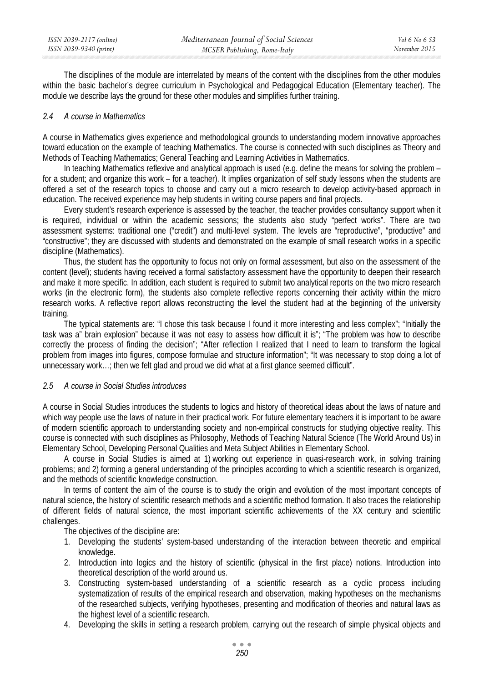The disciplines of the module are interrelated by means of the content with the disciplines from the other modules within the basic bachelor's degree curriculum in Psychological and Pedagogical Education (Elementary teacher). The module we describe lays the ground for these other modules and simplifies further training.

## *2.4 A course in Mathematics*

A course in Mathematics gives experience and methodological grounds to understanding modern innovative approaches toward education on the example of teaching Mathematics. The course is connected with such disciplines as Theory and Methods of Teaching Mathematics; General Teaching and Learning Activities in Mathematics.

In teaching Mathematics reflexive and analytical approach is used (e.g. define the means for solving the problem – for a student; and organize this work – for a teacher). It implies organization of self study lessons when the students are offered a set of the research topics to choose and carry out a micro research to develop activity-based approach in education. The received experience may help students in writing course papers and final projects.

Every student's research experience is assessed by the teacher, the teacher provides consultancy support when it is required, individual or within the academic sessions; the students also study "perfect works". There are two assessment systems: traditional one ("credit") and multi-level system. The levels are "reproductive", "productive" and "constructive"; they are discussed with students and demonstrated on the example of small research works in a specific discipline (Mathematics).

Thus, the student has the opportunity to focus not only on formal assessment, but also on the assessment of the content (level); students having received a formal satisfactory assessment have the opportunity to deepen their research and make it more specific. In addition, each student is required to submit two analytical reports on the two micro research works (in the electronic form), the students also complete reflective reports concerning their activity within the micro research works. A reflective report allows reconstructing the level the student had at the beginning of the university training.

The typical statements are: "I chose this task because I found it more interesting and less complex"; "Initially the task was a" brain explosion" because it was not easy to assess how difficult it is"; "The problem was how to describe correctly the process of finding the decision"; "After reflection I realized that I need to learn to transform the logical problem from images into figures, compose formulae and structure information"; "It was necessary to stop doing a lot of unnecessary work…; then we felt glad and proud we did what at a first glance seemed difficult".

# *2.5 A course in Social Studies introduces*

A course in Social Studies introduces the students to logics and history of theoretical ideas about the laws of nature and which way people use the laws of nature in their practical work. For future elementary teachers it is important to be aware of modern scientific approach to understanding society and non-empirical constructs for studying objective reality. This course is connected with such disciplines as Philosophy, Methods of Teaching Natural Science (The World Around Us) in Elementary School, Developing Personal Qualities and Meta Subject Abilities in Elementary School.

A course in Social Studies is aimed at 1) working out experience in quasi-research work, in solving training problems; and 2) forming a general understanding of the principles according to which a scientific research is organized, and the methods of scientific knowledge construction.

In terms of content the aim of the course is to study the origin and evolution of the most important concepts of natural science, the history of scientific research methods and a scientific method formation. It also traces the relationship of different fields of natural science, the most important scientific achievements of the XX century and scientific challenges.

The objectives of the discipline are:

- 1. Developing the students' system-based understanding of the interaction between theoretic and empirical knowledge.
- 2. Introduction into logics and the history of scientific (physical in the first place) notions. Introduction into theoretical description of the world around us.
- 3. Constructing system-based understanding of a scientific research as a cyclic process including systematization of results of the empirical research and observation, making hypotheses on the mechanisms of the researched subjects, verifying hypotheses, presenting and modification of theories and natural laws as the highest level of a scientific research.
- 4. Developing the skills in setting a research problem, carrying out the research of simple physical objects and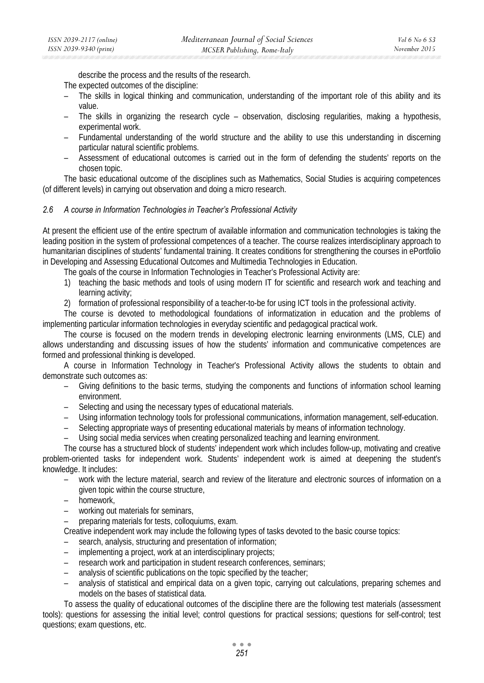describe the process and the results of the research.

The expected outcomes of the discipline:

- The skills in logical thinking and communication, understanding of the important role of this ability and its value.
- The skills in organizing the research cycle observation, disclosing regularities, making a hypothesis, experimental work.
- Fundamental understanding of the world structure and the ability to use this understanding in discerning particular natural scientific problems.
- Assessment of educational outcomes is carried out in the form of defending the students' reports on the chosen topic.

The basic educational outcome of the disciplines such as Mathematics, Social Studies is acquiring competences (of different levels) in carrying out observation and doing a micro research.

# *2.6 A course in Information Technologies in Teacher's Professional Activity*

At present the efficient use of the entire spectrum of available information and communication technologies is taking the leading position in the system of professional competences of a teacher. The course realizes interdisciplinary approach to humanitarian disciplines of students' fundamental training. It creates conditions for strengthening the courses in ePortfolio in Developing and Assessing Educational Outcomes and Multimedia Technologies in Education.

The goals of the course in Information Technologies in Teacher's Professional Activity are:

- 1) teaching the basic methods and tools of using modern IT for scientific and research work and teaching and learning activity;
- 2) formation of professional responsibility of a teacher-to-be for using ICT tools in the professional activity.

The course is devoted to methodological foundations of informatization in education and the problems of implementing particular information technologies in everyday scientific and pedagogical practical work.

The course is focused on the modern trends in developing electronic learning environments (LMS, CLE) and allows understanding and discussing issues of how the students' information and communicative competences are formed and professional thinking is developed.

A course in Information Technology in Teacher's Professional Activity allows the students to obtain and demonstrate such outcomes as:

- Giving definitions to the basic terms, studying the components and functions of information school learning environment.
- Selecting and using the necessary types of educational materials.
- Using information technology tools for professional communications, information management, self-education.
- Selecting appropriate ways of presenting educational materials by means of information technology.
- Using social media services when creating personalized teaching and learning environment.

The course has a structured block of students' independent work which includes follow-up, motivating and creative problem-oriented tasks for independent work. Students' independent work is aimed at deepening the student's knowledge. It includes:

- work with the lecture material, search and review of the literature and electronic sources of information on a given topic within the course structure,
- homework,
- working out materials for seminars,
- preparing materials for tests, colloquiums, exam.

Creative independent work may include the following types of tasks devoted to the basic course topics:

- search, analysis, structuring and presentation of information;
- implementing a project, work at an interdisciplinary projects;
- research work and participation in student research conferences, seminars;
- analysis of scientific publications on the topic specified by the teacher;
- analysis of statistical and empirical data on a given topic, carrying out calculations, preparing schemes and models on the bases of statistical data.

To assess the quality of educational outcomes of the discipline there are the following test materials (assessment tools): questions for assessing the initial level; control questions for practical sessions; questions for self-control; test questions; exam questions, etc.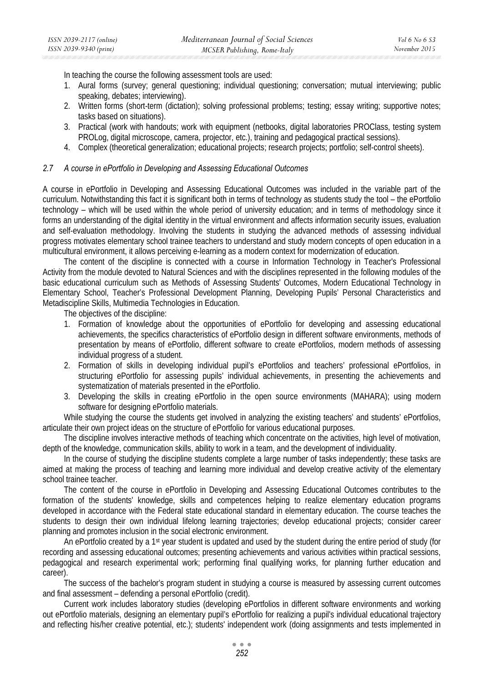In teaching the course the following assessment tools are used:

- 1. Aural forms (survey; general questioning; individual questioning; conversation; mutual interviewing; public speaking, debates; interviewing).
- 2. Written forms (short-term (dictation); solving professional problems; testing; essay writing; supportive notes; tasks based on situations).
- 3. Practical (work with handouts; work with equipment (netbooks, digital laboratories PROClass, testing system PROLog, digital microscope, camera, projector, etc.), training and pedagogical practical sessions).
- 4. Complex (theoretical generalization; educational projects; research projects; portfolio; self-control sheets).

#### *2.7 A course in ePortfolio in Developing and Assessing Educational Outcomes*

A course in ePortfolio in Developing and Assessing Educational Outcomes was included in the variable part of the curriculum. Notwithstanding this fact it is significant both in terms of technology as students study the tool – the ePortfolio technology – which will be used within the whole period of university education; and in terms of methodology since it forms an understanding of the digital identity in the virtual environment and affects information security issues, evaluation and self-evaluation methodology. Involving the students in studying the advanced methods of assessing individual progress motivates elementary school trainee teachers to understand and study modern concepts of open education in a multicultural environment, it allows perceiving e-learning as a modern context for modernization of education.

The content of the discipline is connected with a course in Information Technology in Teacher's Professional Activity from the module devoted to Natural Sciences and with the disciplines represented in the following modules of the basic educational curriculum such as Methods of Assessing Students' Outcomes, Modern Educational Technology in Elementary School, Teacher's Professional Development Planning, Developing Pupils' Personal Characteristics and Metadiscipline Skills, Multimedia Technologies in Education.

The objectives of the discipline:

- 1. Formation of knowledge about the opportunities of ePortfolio for developing and assessing educational achievements, the specifics characteristics of ePortfolio design in different software environments, methods of presentation by means of ePortfolio, different software to create ePortfolios, modern methods of assessing individual progress of a student.
- 2. Formation of skills in developing individual pupil's ePortfolios and teachers' professional ePortfolios, in structuring ePortfolio for assessing pupils' individual achievements, in presenting the achievements and systematization of materials presented in the ePortfolio.
- 3. Developing the skills in creating ePortfolio in the open source environments (MAHARA); using modern software for designing ePortfolio materials.

While studying the course the students get involved in analyzing the existing teachers' and students' ePortfolios, articulate their own project ideas on the structure of ePortfolio for various educational purposes.

The discipline involves interactive methods of teaching which concentrate on the activities, high level of motivation, depth of the knowledge, communication skills, ability to work in a team, and the development of individuality.

In the course of studying the discipline students complete a large number of tasks independently; these tasks are aimed at making the process of teaching and learning more individual and develop creative activity of the elementary school trainee teacher.

The content of the course in ePortfolio in Developing and Assessing Educational Outcomes contributes to the formation of the students' knowledge, skills and competences helping to realize elementary education programs developed in accordance with the Federal state educational standard in elementary education. The course teaches the students to design their own individual lifelong learning trajectories; develop educational projects; consider career planning and promotes inclusion in the social electronic environment.

An ePortfolio created by a 1<sup>st</sup> year student is updated and used by the student during the entire period of study (for recording and assessing educational outcomes; presenting achievements and various activities within practical sessions, pedagogical and research experimental work; performing final qualifying works, for planning further education and career).

The success of the bachelor's program student in studying a course is measured by assessing current outcomes and final assessment – defending a personal ePortfolio (credit).

Current work includes laboratory studies (developing ePortfolios in different software environments and working out ePortfolio materials, designing an elementary pupil's ePortfolio for realizing a pupil's individual educational trajectory and reflecting his/her creative potential, etc.); students' independent work (doing assignments and tests implemented in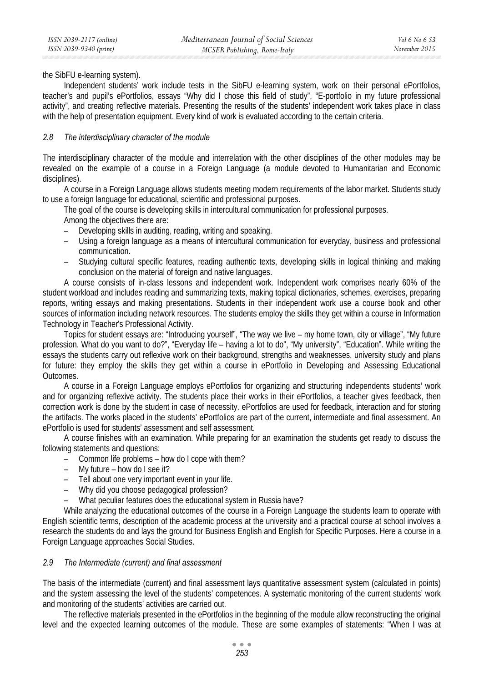the SibFU e-learning system).

Independent students' work include tests in the SibFU e-learning system, work on their personal ePortfolios, teacher's and pupil's ePortfolios, essays "Why did I chose this field of study", "E-portfolio in my future professional activity", and creating reflective materials. Presenting the results of the students' independent work takes place in class with the help of presentation equipment. Every kind of work is evaluated according to the certain criteria.

## *2.8 The interdisciplinary character of the module*

The interdisciplinary character of the module and interrelation with the other disciplines of the other modules may be revealed on the example of a course in a Foreign Language (a module devoted to Humanitarian and Economic disciplines).

A course in a Foreign Language allows students meeting modern requirements of the labor market. Students study to use a foreign language for educational, scientific and professional purposes.

The goal of the course is developing skills in intercultural communication for professional purposes. Among the objectives there are:

- Developing skills in auditing, reading, writing and speaking.
- Using a foreign language as a means of intercultural communication for everyday, business and professional communication.
- Studying cultural specific features, reading authentic texts, developing skills in logical thinking and making conclusion on the material of foreign and native languages.

A course consists of in-class lessons and independent work. Independent work comprises nearly 60% of the student workload and includes reading and summarizing texts, making topical dictionaries, schemes, exercises, preparing reports, writing essays and making presentations. Students in their independent work use a course book and other sources of information including network resources. The students employ the skills they get within a course in Information Technology in Teacher's Professional Activity.

Topics for student essays are: "Introducing yourself", "The way we live – my home town, city or village", "My future profession. What do you want to do?", "Everyday life – having a lot to do", "My university", "Education". While writing the essays the students carry out reflexive work on their background, strengths and weaknesses, university study and plans for future: they employ the skills they get within a course in ePortfolio in Developing and Assessing Educational Outcomes.

A course in a Foreign Language employs ePortfolios for organizing and structuring independents students' work and for organizing reflexive activity. The students place their works in their ePortfolios, a teacher gives feedback, then correction work is done by the student in case of necessity. ePortfolios are used for feedback, interaction and for storing the artifacts. The works placed in the students' ePortfolios are part of the current, intermediate and final assessment. An ePortfolio is used for students' assessment and self assessment.

A course finishes with an examination. While preparing for an examination the students get ready to discuss the following statements and questions:

- Common life problems how do I cope with them?
- My future how do I see it?
- Tell about one very important event in your life.
- Why did you choose pedagogical profession?
- What peculiar features does the educational system in Russia have?

While analyzing the educational outcomes of the course in a Foreign Language the students learn to operate with English scientific terms, description of the academic process at the university and a practical course at school involves a research the students do and lays the ground for Business English and English for Specific Purposes. Here a course in a Foreign Language approaches Social Studies.

#### *2.9 The Intermediate (current) and final assessment*

The basis of the intermediate (current) and final assessment lays quantitative assessment system (calculated in points) and the system assessing the level of the students' competences. A systematic monitoring of the current students' work and monitoring of the students' activities are carried out.

The reflective materials presented in the ePortfolios in the beginning of the module allow reconstructing the original level and the expected learning outcomes of the module. These are some examples of statements: "When I was at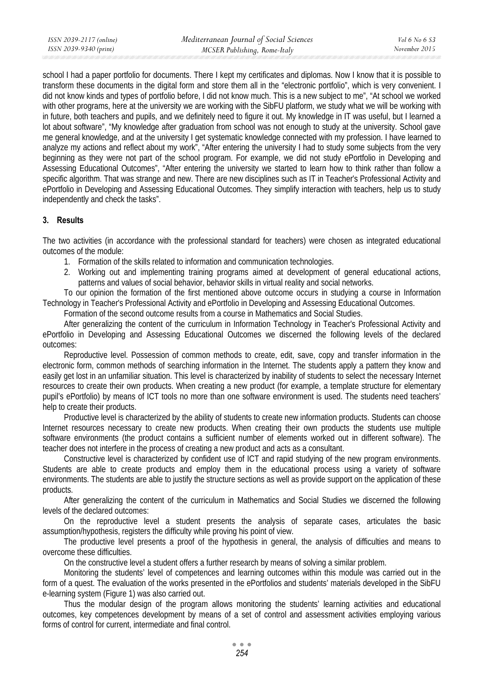school I had a paper portfolio for documents. There I kept my certificates and diplomas. Now I know that it is possible to transform these documents in the digital form and store them all in the "electronic portfolio", which is very convenient. I did not know kinds and types of portfolio before, I did not know much. This is a new subject to me", "At school we worked with other programs, here at the university we are working with the SibFU platform, we study what we will be working with in future, both teachers and pupils, and we definitely need to figure it out. My knowledge in IT was useful, but I learned a lot about software", "My knowledge after graduation from school was not enough to study at the university. School gave me general knowledge, and at the university I get systematic knowledge connected with my profession. I have learned to analyze my actions and reflect about my work", "After entering the university I had to study some subjects from the very beginning as they were not part of the school program. For example, we did not study ePortfolio in Developing and Assessing Educational Outcomes", "After entering the university we started to learn how to think rather than follow a specific algorithm. That was strange and new. There are new disciplines such as IT in Teacher's Professional Activity and ePortfolio in Developing and Assessing Educational Outcomes. They simplify interaction with teachers, help us to study independently and check the tasks".

# **3. Results**

The two activities (in accordance with the professional standard for teachers) were chosen as integrated educational outcomes of the module:

- 1. Formation of the skills related to information and communication technologies.
- 2. Working out and implementing training programs aimed at development of general educational actions, patterns and values of social behavior, behavior skills in virtual reality and social networks.

To our opinion the formation of the first mentioned above outcome occurs in studying a course in Information Technology in Teacher's Professional Activity and ePortfolio in Developing and Assessing Educational Outcomes.

Formation of the second outcome results from a course in Mathematics and Social Studies.

After generalizing the content of the curriculum in Information Technology in Teacher's Professional Activity and ePortfolio in Developing and Assessing Educational Outcomes we discerned the following levels of the declared outcomes:

Reproductive level. Possession of common methods to create, edit, save, copy and transfer information in the electronic form, common methods of searching information in the Internet. The students apply a pattern they know and easily get lost in an unfamiliar situation. This level is characterized by inability of students to select the necessary Internet resources to create their own products. When creating a new product (for example, a template structure for elementary pupil's ePortfolio) by means of ICT tools no more than one software environment is used. The students need teachers' help to create their products.

Productive level is characterized by the ability of students to create new information products. Students can choose Internet resources necessary to create new products. When creating their own products the students use multiple software environments (the product contains a sufficient number of elements worked out in different software). The teacher does not interfere in the process of creating a new product and acts as a consultant.

Constructive level is characterized by confident use of ICT and rapid studying of the new program environments. Students are able to create products and employ them in the educational process using a variety of software environments. The students are able to justify the structure sections as well as provide support on the application of these products.

After generalizing the content of the curriculum in Mathematics and Social Studies we discerned the following levels of the declared outcomes:

On the reproductive level a student presents the analysis of separate cases, articulates the basic assumption/hypothesis, registers the difficulty while proving his point of view.

The productive level presents a proof of the hypothesis in general, the analysis of difficulties and means to overcome these difficulties.

On the constructive level a student offers a further research by means of solving a similar problem.

Monitoring the students' level of competences and learning outcomes within this module was carried out in the form of a quest. The evaluation of the works presented in the ePortfolios and students' materials developed in the SibFU e-learning system (Figure 1) was also carried out.

Thus the modular design of the program allows monitoring the students' learning activities and educational outcomes, key competences development by means of a set of control and assessment activities employing various forms of control for current, intermediate and final control.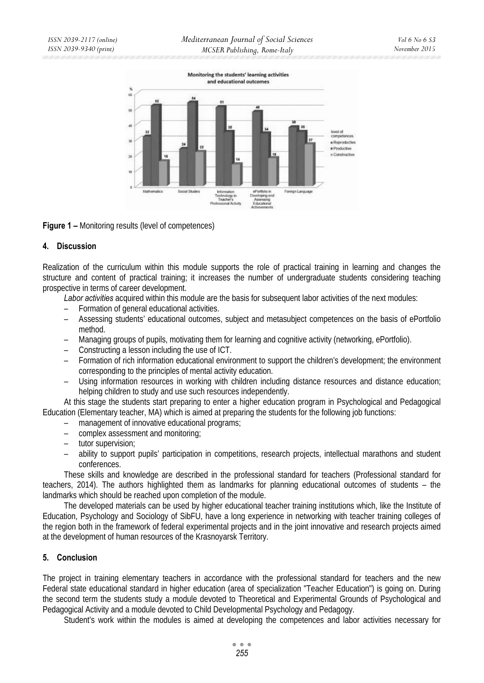

**Figure 1 –** Monitoring results (level of competences)

## **4. Discussion**

Realization of the curriculum within this module supports the role of practical training in learning and changes the structure and content of practical training; it increases the number of undergraduate students considering teaching prospective in terms of career development.

*Labor activities* acquired within this module are the basis for subsequent labor activities of the next modules:

- Formation of general educational activities.
- Assessing students' educational outcomes, subject and metasubject competences on the basis of ePortfolio method.
- Managing groups of pupils, motivating them for learning and cognitive activity (networking, ePortfolio).
- Constructing a lesson including the use of ICT.
- Formation of rich information educational environment to support the children's development; the environment corresponding to the principles of mental activity education.
- Using information resources in working with children including distance resources and distance education; helping children to study and use such resources independently.

At this stage the students start preparing to enter a higher education program in Psychological and Pedagogical Education (Elementary teacher, MA) which is aimed at preparing the students for the following job functions:

- management of innovative educational programs;
- complex assessment and monitoring;
- tutor supervision;
- ability to support pupils' participation in competitions, research projects, intellectual marathons and student conferences.

These skills and knowledge are described in the professional standard for teachers (Professional standard for teachers, 2014). The authors highlighted them as landmarks for planning educational outcomes of students – the landmarks which should be reached upon completion of the module.

The developed materials can be used by higher educational teacher training institutions which, like the Institute of Education, Psychology and Sociology of SibFU, have a long experience in networking with teacher training colleges of the region both in the framework of federal experimental projects and in the joint innovative and research projects aimed at the development of human resources of the Krasnoyarsk Territory.

# **5. Conclusion**

The project in training elementary teachers in accordance with the professional standard for teachers and the new Federal state educational standard in higher education (area of specialization "Teacher Education") is going on. During the second term the students study a module devoted to Theoretical and Experimental Grounds of Psychological and Pedagogical Activity and a module devoted to Child Developmental Psychology and Pedagogy.

Student's work within the modules is aimed at developing the competences and labor activities necessary for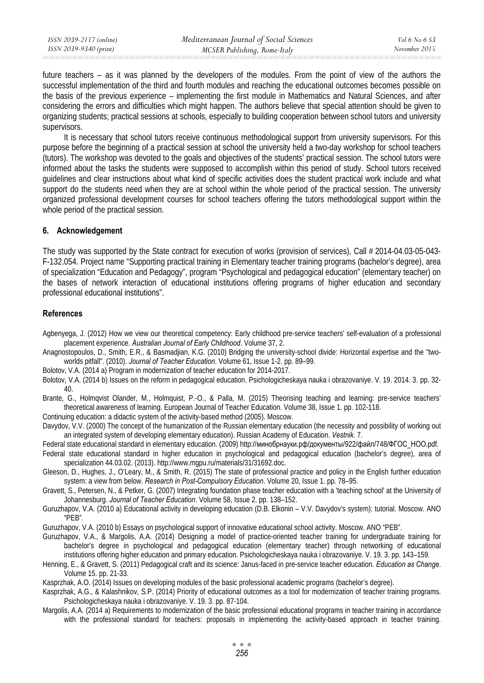future teachers – as it was planned by the developers of the modules. From the point of view of the authors the successful implementation of the third and fourth modules and reaching the educational outcomes becomes possible on the basis of the previous experience – implementing the first module in Mathematics and Natural Sciences, and after considering the errors and difficulties which might happen. The authors believe that special attention should be given to organizing students; practical sessions at schools, especially to building cooperation between school tutors and university supervisors.

It is necessary that school tutors receive continuous methodological support from university supervisors. For this purpose before the beginning of a practical session at school the university held a two-day workshop for school teachers (tutors). The workshop was devoted to the goals and objectives of the students' practical session. The school tutors were informed about the tasks the students were supposed to accomplish within this period of study. School tutors received guidelines and clear instructions about what kind of specific activities does the student practical work include and what support do the students need when they are at school within the whole period of the practical session. The university organized professional development courses for school teachers offering the tutors methodological support within the whole period of the practical session.

## **6. Acknowledgement**

The study was supported by the State contract for execution of works (provision of services), Call # 2014-04.03-05-043- F-132.054. Project name "Supporting practical training in Elementary teacher training programs (bachelor's degree), area of specialization "Education and Pedagogy", program "Psychological and pedagogical education" (elementary teacher) on the bases of network interaction of educational institutions offering programs of higher education and secondary professional educational institutions".

## **References**

Agbenyega, J. (2012) How we view our theoretical competency: Early childhood pre-service teachers' self-evaluation of a professional placement experience. *Australian Journal of Early Childhood*. Volume 37, 2.

- Anagnostopoulos, D., Smith, E.R., & Basmadjian, K.G. (2010) Bridging the university-school divide: Horizontal expertise and the "twoworlds pitfall". (2010). *Journal of Teacher Education*. Volume 61, Issue 1-2. pp. 89–99.
- Bolotov, V.A. (2014 a) Program in modernization of teacher education for 2014-2017.
- Bolotov, V.A. (2014 b) Issues on the reform in pedagogical education. Psichologicheskaya nauka i obrazovaniye. V. 19. 2014. 3. pp. 32- 40.
- Brante, G., Holmqvist Olander, M., Holmquist, P.-O., & Palla, M. (2015) Theorising teaching and learning: pre-service teachers' theoretical awareness of learning. European Journal of Teacher Education. Volume 38, Issue 1. pp. 102-118.

Continuing education: a didactic system of the activity-based method (2005). Moscow.

Davydov, V.V. (2000) The concept of the humanization of the Russian elementary education (the necessity and possibility of working out an integrated system of developing elementary education). Russian Academy of Education. *Vestnik*. 7.

Federal state educational standard in elementary education. (2009) http://минобрнауки.рф/документы/922/файл/748/ФГОС\_НОО.рdf.

- Federal state educational standard in higher education in psychological and pedagogical education (bachelor's degree), area of specialization 44.03.02. (2013). http://www.mgpu.ru/materials/31/31692.doc.
- Gleeson, D., Hughes, J., O'Leary, M., & Smith, R. (2015) The state of professional practice and policy in the English further education system: a view from below. *Research in Post-Compulsory Education*. Volume 20, Issue 1. pp. 78–95.
- Gravett, S., Petersen, N., & Petker, G. (2007) Integrating foundation phase teacher education with a 'teaching school' at the University of Johannesburg. *Journal of Teacher Education*. Volume 58, Issue 2. pp. 138–152.
- Guruzhapov, V.A. (2010 a) Educational activity in developing education (D.B. Elkonin V.V. Davydov's system): tutorial. Moscow. ANO "PEB".

Guruzhapov, V.A. (2010 b) Essays on psychological support of innovative educational school activity. Moscow. ANO "PEB".

Guruzhapov, V.A., & Margolis, A.A. (2014) Designing a model of practice-oriented teacher training for undergraduate training for bachelor's degree in psychological and pedagogical education (elementary teacher) through networking of educational institutions offering higher education and primary education. Psichologicheskaya nauka i obrazovaniye. V. 19. 3. pp. 143–159.

Henning, E., & Gravett, S. (2011) Pedagogical craft and its science: Janus-faced in pre-service teacher education. *Education as Change*. Volume 15. pp. 21-33.

Kasprzhak, A.O. (2014) Issues on developing modules of the basic professional academic programs (bachelor's degree).

Kasprzhak, A.G., & Kalashnikov, S.P. (2014) Priority of educational outcomes as a tool for modernization of teacher training programs. Psichologicheskaya nauka i obrazovaniye. V. 19. 3. pp. 87-104.

Margolis, A.A. (2014 a) Requirements to modernization of the basic professional educational programs in teacher training in accordance with the professional standard for teachers: proposals in implementing the activity-based approach in teacher training.